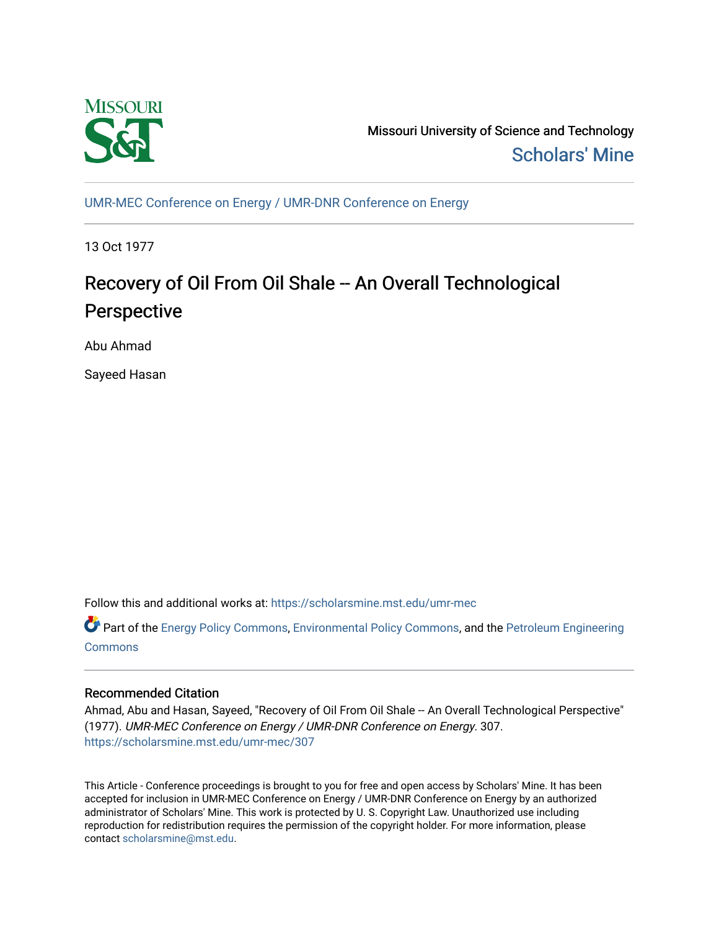

Missouri University of Science and Technology [Scholars' Mine](https://scholarsmine.mst.edu/) 

[UMR-MEC Conference on Energy / UMR-DNR Conference on Energy](https://scholarsmine.mst.edu/umr-mec)

13 Oct 1977

# Recovery of Oil From Oil Shale -- An Overall Technological Perspective

Abu Ahmad

Sayeed Hasan

Follow this and additional works at: [https://scholarsmine.mst.edu/umr-mec](https://scholarsmine.mst.edu/umr-mec?utm_source=scholarsmine.mst.edu%2Fumr-mec%2F307&utm_medium=PDF&utm_campaign=PDFCoverPages) 

Part of the [Energy Policy Commons](http://network.bepress.com/hgg/discipline/1065?utm_source=scholarsmine.mst.edu%2Fumr-mec%2F307&utm_medium=PDF&utm_campaign=PDFCoverPages), [Environmental Policy Commons](http://network.bepress.com/hgg/discipline/1027?utm_source=scholarsmine.mst.edu%2Fumr-mec%2F307&utm_medium=PDF&utm_campaign=PDFCoverPages), and the [Petroleum Engineering](http://network.bepress.com/hgg/discipline/245?utm_source=scholarsmine.mst.edu%2Fumr-mec%2F307&utm_medium=PDF&utm_campaign=PDFCoverPages)  **[Commons](http://network.bepress.com/hgg/discipline/245?utm_source=scholarsmine.mst.edu%2Fumr-mec%2F307&utm_medium=PDF&utm_campaign=PDFCoverPages)** 

# Recommended Citation

Ahmad, Abu and Hasan, Sayeed, "Recovery of Oil From Oil Shale -- An Overall Technological Perspective" (1977). UMR-MEC Conference on Energy / UMR-DNR Conference on Energy. 307. [https://scholarsmine.mst.edu/umr-mec/307](https://scholarsmine.mst.edu/umr-mec/307?utm_source=scholarsmine.mst.edu%2Fumr-mec%2F307&utm_medium=PDF&utm_campaign=PDFCoverPages) 

This Article - Conference proceedings is brought to you for free and open access by Scholars' Mine. It has been accepted for inclusion in UMR-MEC Conference on Energy / UMR-DNR Conference on Energy by an authorized administrator of Scholars' Mine. This work is protected by U. S. Copyright Law. Unauthorized use including reproduction for redistribution requires the permission of the copyright holder. For more information, please contact [scholarsmine@mst.edu](mailto:scholarsmine@mst.edu).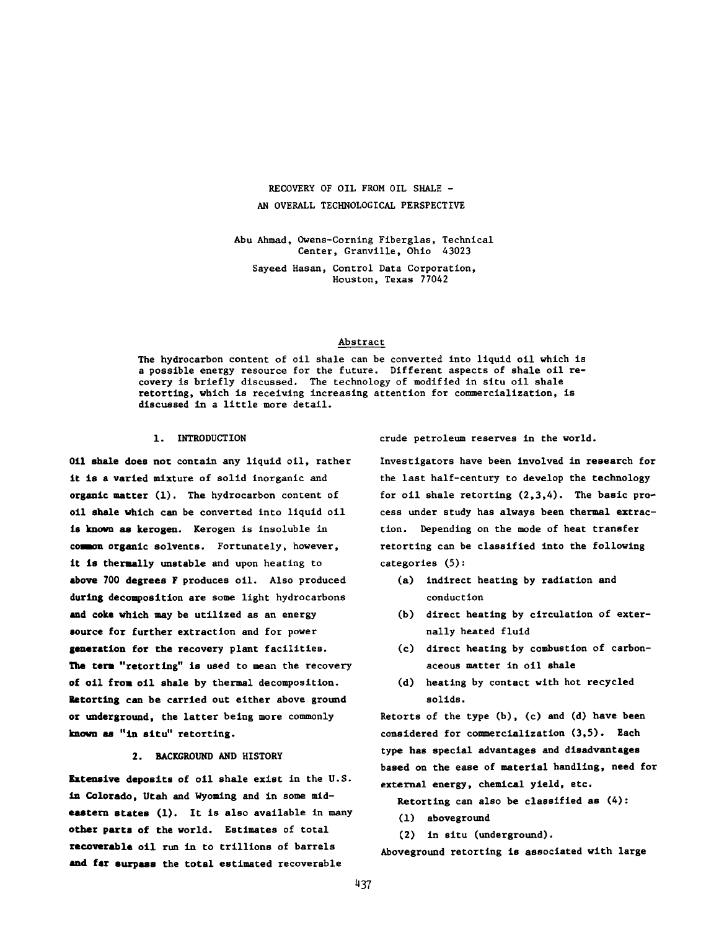## RECOVERY OF OIL FROM OIL SHALE - AN OVERALL TECHNOLOGICAL PERSPECTIVE

Abu Ahmad, Owens-Coming Fiberglas, Technical Center, Granville, Ohio 43023

Sayeed Hasan, Control Data Corporation, Houston, Texas 77042

#### Abstract

The hydrocarbon content of oil shale can be converted into liquid oil which is a possible energy resource for the future. Different aspects of shale oil recovery is briefly discussed. The technology of modified in situ oil shale retorting, which is receiving increasing attention for commercialization, is discussed in a little more detail.

#### 1. INTRODUCTION

**Oil shale** does not contain any liquid oil, rather **it is** a **varied** mixture of solid inorganic and **organic matter** (1). The hydrocarbon content of **oil shale which** can be converted into liquid oil **is known as kerogen.** Kerogen is insoluble in **coanon organic** solvents. Fortunately, however, **it is thermally** unstable and upon heating to **above** 700 **degrees** F produces oil. Also produced **during decomposition** are some light hydrocarbons **and coke which may** be utilized as an energy **source for further** extraction and for power **generation for the recovery** plant facilities. **The term "retorting"** is used to mean the recovery **of** oil **from** oil shale **by** thermal decomposition. **Retorting can be** carried out either above ground **or underground,** the latter being more commonly **known as "in** situ" retorting.

## 2. BACKGROUND AND HISTORY

**Extensive deposits** of oil shale exist in the U.S. **in Colorado, Utah** and Wyoming and in some mid**eastern states** (1). It is also available in many **other parts of** the world. Estimates of total **recoverable oil** run in to trillions of barrels **and far surpass** the total estimated recoverable

crude petroleum reserves in the world.

Investigators have been involved in research for the last half-century to develop the technology for oil shale retorting  $(2,3,4)$ . The basic process under study has always been thermal extraction. Depending on the mode of heat transfer retorting can be classified into the following categories (5):

- (a) indirect heating by radiation and conduction
- (b) direct heating by circulation of externally heated fluid
- (c) direct heating by combustion of carbonaceous matter in oil shale
- (d) heating by contact with hot recycled solids.

Retorts of the type (b), (c) and (d) have been considered for commercialization (3,5). Each type has special advantages and disadvantages based on the ease of material handling, need for external energy, chemical yield, etc.

- Retorting can also be classified as (4):
- (1) aboveground
- (2) in situ (underground).

Aboveground retorting is associated with large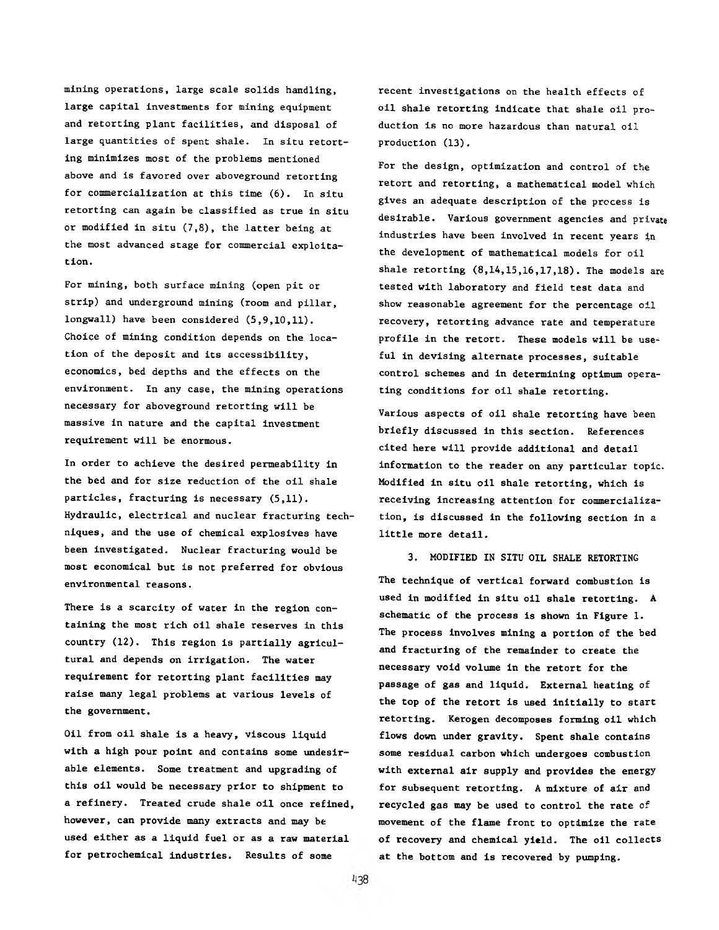mining operations, large scale solids handling, large capital investments for mining equipment and retorting plant facilities, and disposal of large quantities of spent shale. In situ retorting minimizes most of the problems mentioned above and is favored over aboveground retorting for commercialization at this time (6). In situ retorting can again be classified as true in situ or modified in situ (7,8), the latter being at the most advanced stage for commercial exploitation.

For mining, both surface mining (open pit or strip) and underground mining (room and pillar, longwall) have been considered (5,9,10,11). Choice of mining condition depends on the location of the deposit and its accessibility, economics, bed depths and the effects on the environment. In any case, the mining operations necessary for aboveground retorting will be massive in nature and the capital investment requirement will be enormous.

In order to achieve the desired permeability in the bed and for size reduction of the oil shale particles, fracturing is necessary (5,11). Hydraulic, electrical and nuclear fracturing techniques, and the use of chemical explosives have been investigated. Nuclear fracturing would be most economical but is not preferred for obvious environmental reasons.

There is a scarcity of water in the region containing the most rich oil shale reserves in this country (12). This region is partially agricultural and depends on irrigation. The water requirement for retorting plant facilities may raise many legal problems at various levels of the government.

Oil from oil shale is a heavy, viscous liquid with a high pour point and contains some undesirable elements. Some treatment and upgrading of this oil would be necessary prior to shipment to a refinery. Treated crude shale oil once refined, however, can provide many extracts and may be used either as a liquid fuel or as a raw material for petrochemical industries. Results of some

recent investigations on the health effects of oil shale retorting indicate that shale oil production is nc more hazardous than natural oil production (13).

For the design, optimization and control of the retort and retorting, a mathematical model which gives an adequate description of the process is desirable. Various government agencies and private industries have been involved in recent years in the development of mathematical models for oil shale retorting (8,14,15,16,17,18). The models are tested with laboratory and field test data and show reasonable agreement for the percentage oil recovery, retorting advance rate and temperature profile in the retort. These models will be useful in devising alternate processes, suitable control schemes and in determining optimum operating conditions for oil shale retorting.

Various aspects of oil shale retorting have been briefly discussed in this section. References cited here will provide additional and detail information to the reader on any particular topic. Modified in situ oil shale retorting, which is receiving increasing attention for commercialization, is discussed in the following section in a little more detail.

3. MODIFIED IN SITU OIL SHALE RETORTING The technique of vertical forward combustion is used in modified in situ oil shale retorting. A schematic of the process is shown in Figure 1. The process involves mining a portion of the bed and fracturing of the remainder to create the necessary void volume in the retort for the passage of gas and liquid. External heating of the top of the retort is used initially to start retorting. Kerogen decomposes forming oil which flows down under gravity. Spent shale contains some residual carbon which undergoes combustion with external air supply and provides the energy for subsequent retorting. A mixture of air and recycled gas may be used to control the rate of movement of the flame front to optimize the rate of recovery and chemical yield. The oil collects at the bottom and is recovered by pumping.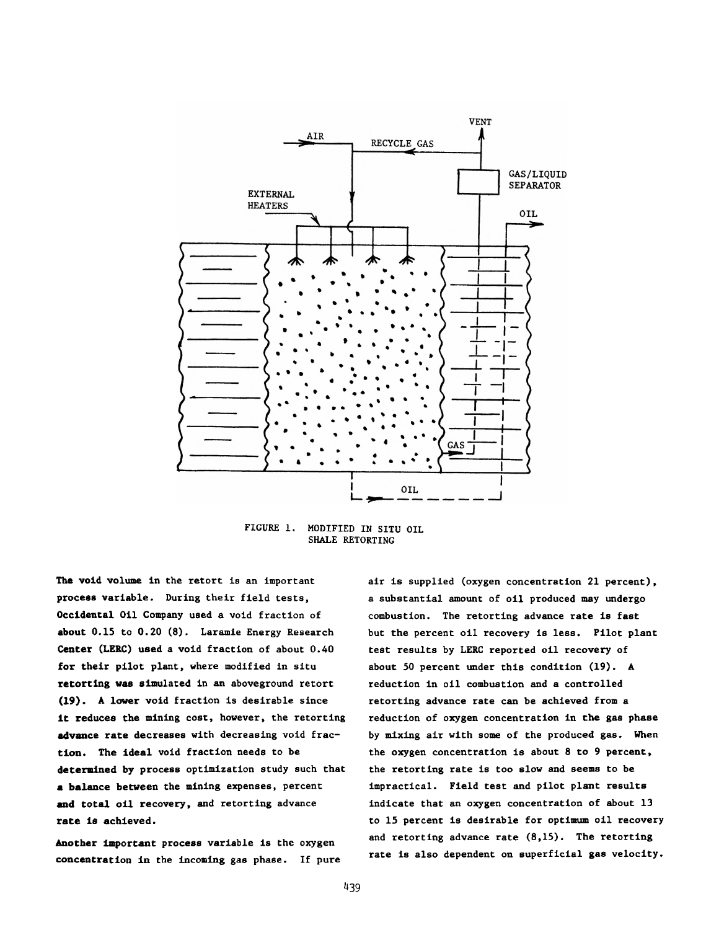

FIGURE 1. MODIFIED IN SITU OIL SHALE RETORTING

The void volume in the retort is an important process variable. During their field tests, Occidental Oil Company used a void fraction of about 0.15 to 0.20 (8). Laramie Energy Research Center (LERC) used a void fraction of about 0.40 for their pilot plant, where modified in situ retorting was simulated in an aboveground retort (19). A lower void fraction is desirable since it reduces the mining cost, however, the retorting advance rate decreases with decreasing void fraction. The ideal void fraction needs to be determined by process optimization study such that a balance between the mining expenses, percent and total oil recovery, and retorting advance rate is achieved.

Another important process variable is the oxygen concentration in the incoming gas phase. If pure air is supplied (oxygen concentration 21 percent), a substantial amount of oil produced may undergo combustion. The retorting advance rate is fast but the percent oil recovery is less. Pilot plant test results by LERC reported oil recovery of about 50 percent under this condition (19). A reduction in oil combustion and a controlled retorting advance rate can be achieved from a reduction of oxygen concentration in the gas phase by mixing air with some of the produced gas. When the oxygen concentration is about 8 to 9 percent, the retorting rate is too slow and seems to be impractical. Field test and pilot plant results indicate that an oxygen concentration of about 13 to 15 percent is desirable for optimum oil recovery and retorting advance rate (8,15). The retorting rate is also dependent on superficial gas velocity.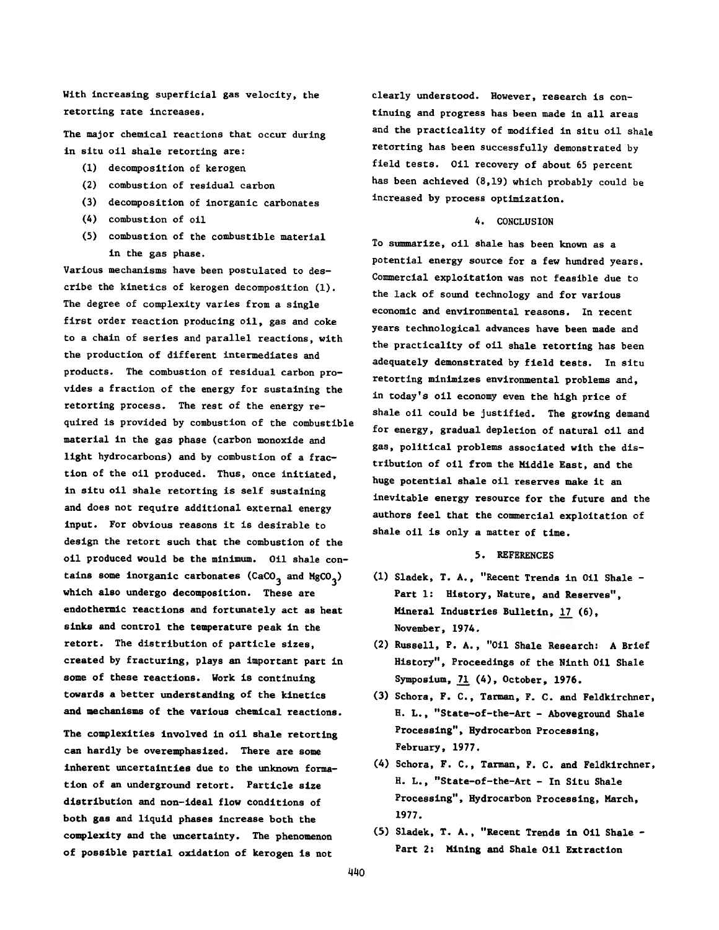With increasing superficial gas velocity, the retorting rate increases.

The major chemical reactions that occur during in situ oil shale retorting are:

- (1) decomposition of kerogen
- (2) combustion of residual carbon
- (3) decomposition of inorganic carbonates
- (4) combustion of oil
- (5) combustion of the combustible material in the gas phase.

Various mechanisms have been postulated to describe the kinetics of kerogen decomposition (1). The degree of complexity varies from a single first order reaction producing oil, gas and coke to a chain of series and parallel reactions, with the production of different intermediates and products. The combustion of residual carbon provides a fraction of the energy for sustaining the retorting process. The rest of the energy required is provided by combustion of the combustible material in the gas phase (carbon monoxide and light hydrocarbons) and by combustion of a fraction of the oil produced. Thus, once initiated, in situ oil shale retorting is self sustaining and does not require additional external energy input. For obvious reasons it is desirable to design the retort such that the combustion of the oil produced would be the minimum. Oil shale contains some inorganic carbonates (CaCO<sub>3</sub> and MgCO<sub>3</sub>) which also undergo decomposition. These are endothermic reactions and fortunately act as heat sinks and control the temperature peak in the retort. The distribution of particle sizes, created by fracturing, plays an important part in some of these reactions. Work is continuing towards a better understanding of the kinetics and mechanisms of the various chemical reactions.

The complexities involved in oil shale retorting can hardly be overemphasized. There are some inherent uncertainties due to the unknown formation of an underground retort. Particle size distribution and non-ideal flow conditions of both gas and liquid phases increase both the complexity and the uncertainty. The phenomenon of possible partial oxidation of kerogen is not

clearly understood. However, research is continuing and progress has been made in all areas and the practicality of modified in situ oil shale retorting has been successfully demonstrated by field tests. Oil recovery of about 65 percent has been achieved (8,19) which probably could be increased by process optimization.

### 4. CONCLUSION

To summarize, oil shale has been known as a potential energy source for a few hundred years. Commercial exploitation was not feasible due to the lack of sound technology and for various economic and environmental reasons. In recent years technological advances have been made and the practicality of oil shale retorting has been adequately demonstrated by field tests. In situ retorting minimizes environmental problems and, in today's oil economy even the high price of shale oil could be justified. The growing demand for energy, gradual depletion of natural oil and gas, political problems associated with the distribution of oil from the Middle East, and the huge potential shale oil reserves make it an inevitable energy resource for the future and the authors feel that the commercial exploitation of shale oil is only a matter of time.

#### 5. REFERENCES

- (1) Sladek, T. A., "Recent Trends in Oil Shale Part 1: History, Nature, and Reserves", Mineral Industries Bulletin, 17 (6), November, 1974.
- (2) Russell, P. A., "Oil Shale Research: A Brief History", Proceedings of the Ninth Oil Shale Symposium, 71 (4), October, 1976.
- (3) Schora, F. C., Tarman, F. C. and Feldkirchner, H. L., "State-of-the-Art - Aboveground Shale Processing", Hydrocarbon Processing, February, 1977.
- (4) Schora, F. C., Tarman, F. C. and Feldkirchner, H. L., "State-of-the-Art - In Situ Shale Processing", Hydrocarbon Processing, March, 1977.
- (5) Sladek, T. A., "Recent Trends in Oil Shale Part 2: Mining and Shale Oil Extraction